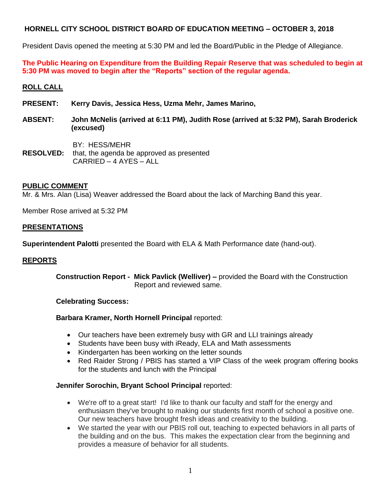President Davis opened the meeting at 5:30 PM and led the Board/Public in the Pledge of Allegiance.

**The Public Hearing on Expenditure from the Building Repair Reserve that was scheduled to begin at 5:30 PM was moved to begin after the "Reports" section of the regular agenda.**

# **ROLL CALL**

- **PRESENT: Kerry Davis, Jessica Hess, Uzma Mehr, James Marino,**
- **ABSENT: John McNelis (arrived at 6:11 PM), Judith Rose (arrived at 5:32 PM), Sarah Broderick (excused)**
- BY: HESS/MEHR **RESOLVED:** that, the agenda be approved as presented CARRIED – 4 AYES – ALL

## **PUBLIC COMMENT**

Mr. & Mrs. Alan (Lisa) Weaver addressed the Board about the lack of Marching Band this year.

Member Rose arrived at 5:32 PM

## **PRESENTATIONS**

**Superintendent Palotti** presented the Board with ELA & Math Performance date (hand-out).

## **REPORTS**

**Construction Report - Mick Pavlick (Welliver) –** provided the Board with the Construction Report and reviewed same.

## **Celebrating Success:**

## **Barbara Kramer, North Hornell Principal** reported:

- Our teachers have been extremely busy with GR and LLI trainings already
- Students have been busy with iReady, ELA and Math assessments
- Kindergarten has been working on the letter sounds
- Red Raider Strong / PBIS has started a VIP Class of the week program offering books for the students and lunch with the Principal

## **Jennifer Sorochin, Bryant School Principal** reported:

- We're off to a great start! I'd like to thank our faculty and staff for the energy and enthusiasm they've brought to making our students first month of school a positive one. Our new teachers have brought fresh ideas and creativity to the building.
- We started the year with our PBIS roll out, teaching to expected behaviors in all parts of the building and on the bus. This makes the expectation clear from the beginning and provides a measure of behavior for all students.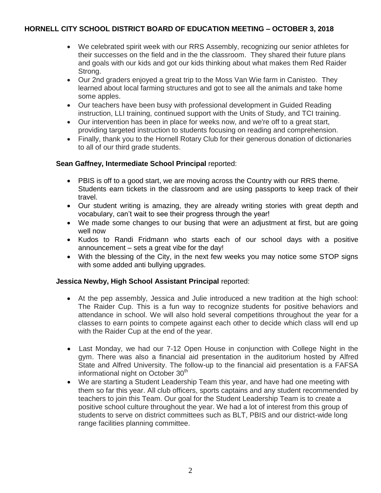- We celebrated spirit week with our RRS Assembly, recognizing our senior athletes for their successes on the field and in the the classroom. They shared their future plans and goals with our kids and got our kids thinking about what makes them Red Raider Strong.
- Our 2nd graders enjoyed a great trip to the Moss Van Wie farm in Canisteo. They learned about local farming structures and got to see all the animals and take home some apples.
- Our teachers have been busy with professional development in Guided Reading instruction, LLI training, continued support with the Units of Study, and TCI training.
- Our intervention has been in place for weeks now, and we're off to a great start, providing targeted instruction to students focusing on reading and comprehension.
- Finally, thank you to the Hornell Rotary Club for their generous donation of dictionaries to all of our third grade students.

## **Sean Gaffney, Intermediate School Principal** reported:

- PBIS is off to a good start, we are moving across the Country with our RRS theme. Students earn tickets in the classroom and are using passports to keep track of their travel.
- Our student writing is amazing, they are already writing stories with great depth and vocabulary, can't wait to see their progress through the year!
- We made some changes to our busing that were an adjustment at first, but are going well now
- Kudos to Randi Fridmann who starts each of our school days with a positive announcement – sets a great vibe for the day!
- With the blessing of the City, in the next few weeks you may notice some STOP signs with some added anti bullying upgrades.

# **Jessica Newby, High School Assistant Principal** reported:

- At the pep assembly, Jessica and Julie introduced a new tradition at the high school: The Raider Cup. This is a fun way to recognize students for positive behaviors and attendance in school. We will also hold several competitions throughout the year for a classes to earn points to compete against each other to decide which class will end up with the Raider Cup at the end of the year.
- Last Monday, we had our 7-12 Open House in conjunction with College Night in the gym. There was also a financial aid presentation in the auditorium hosted by Alfred State and Alfred University. The follow-up to the financial aid presentation is a FAFSA informational night on October 30<sup>th</sup>
- We are starting a Student Leadership Team this year, and have had one meeting with them so far this year. All club officers, sports captains and any student recommended by teachers to join this Team. Our goal for the Student Leadership Team is to create a positive school culture throughout the year. We had a lot of interest from this group of students to serve on district committees such as BLT, PBIS and our district-wide long range facilities planning committee.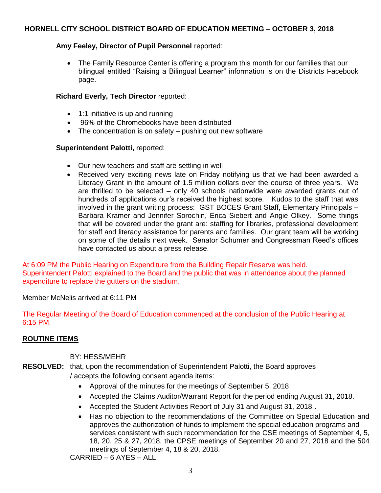# **Amy Feeley, Director of Pupil Personnel** reported:

 The Family Resource Center is offering a program this month for our families that our bilingual entitled "Raising a Bilingual Learner" information is on the Districts Facebook page.

## **Richard Everly, Tech Director** reported:

- 1:1 initiative is up and running
- 96% of the Chromebooks have been distributed
- The concentration is on safety pushing out new software

## **Superintendent Palotti,** reported:

- Our new teachers and staff are settling in well
- Received very exciting news late on Friday notifying us that we had been awarded a Literacy Grant in the amount of 1.5 million dollars over the course of three years. We are thrilled to be selected – only 40 schools nationwide were awarded grants out of hundreds of applications our's received the highest score. Kudos to the staff that was involved in the grant writing process: GST BOCES Grant Staff, Elementary Principals – Barbara Kramer and Jennifer Sorochin, Erica Siebert and Angie Olkey. Some things that will be covered under the grant are: staffing for libraries, professional development for staff and literacy assistance for parents and families. Our grant team will be working on some of the details next week. Senator Schumer and Congressman Reed's offices have contacted us about a press release.

At 6:09 PM the Public Hearing on Expenditure from the Building Repair Reserve was held. Superintendent Palotti explained to the Board and the public that was in attendance about the planned expenditure to replace the gutters on the stadium.

Member McNelis arrived at 6:11 PM

The Regular Meeting of the Board of Education commenced at the conclusion of the Public Hearing at 6:15 PM.

# **ROUTINE ITEMS**

BY: HESS/MEHR

- **RESOLVED:** that, upon the recommendation of Superintendent Palotti, the Board approves / accepts the following consent agenda items:
	- Approval of the minutes for the meetings of September 5, 2018
	- Accepted the Claims Auditor/Warrant Report for the period ending August 31, 2018.
	- Accepted the Student Activities Report of July 31 and August 31, 2018..
	- Has no objection to the recommendations of the Committee on Special Education and approves the authorization of funds to implement the special education programs and services consistent with such recommendation for the CSE meetings of September 4, 5, 18, 20, 25 & 27, 2018, the CPSE meetings of September 20 and 27, 2018 and the 504 meetings of September 4, 18 & 20, 2018.

CARRIED – 6 AYES – ALL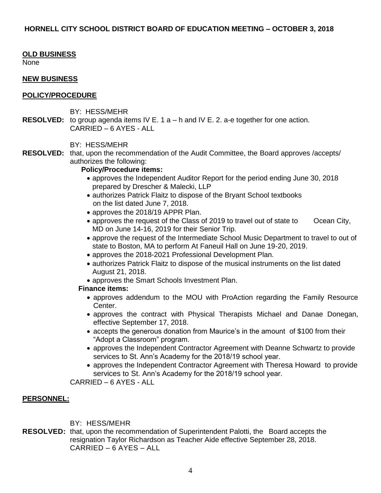## **OLD BUSINESS**

None

## **NEW BUSINESS**

## **POLICY/PROCEDURE**

- BY: HESS/MEHR
- **RESOLVED:** to group agenda items IV E. 1 a h and IV E. 2. a-e together for one action. CARRIED – 6 AYES - ALL

## BY: HESS/MEHR

**RESOLVED:** that, upon the recommendation of the Audit Committee, the Board approves /accepts/ authorizes the following:

## **Policy/Procedure items:**

- approves the Independent Auditor Report for the period ending June 30, 2018 prepared by Drescher & Malecki, LLP
- authorizes Patrick Flaitz to dispose of the Bryant School textbooks on the list dated June 7, 2018.
- approves the 2018/19 APPR Plan.
- approves the request of the Class of 2019 to travel out of state to Ocean City, MD on June 14-16, 2019 for their Senior Trip.
- approve the request of the Intermediate School Music Department to travel to out of state to Boston, MA to perform At Faneuil Hall on June 19-20, 2019.
- approves the 2018-2021 Professional Development Plan.
- authorizes Patrick Flaitz to dispose of the musical instruments on the list dated August 21, 2018.
- approves the Smart Schools Investment Plan.

## **Finance items:**

- approves addendum to the MOU with ProAction regarding the Family Resource Center.
- approves the contract with Physical Therapists Michael and Danae Donegan, effective September 17, 2018.
- accepts the generous donation from Maurice's in the amount of \$100 from their "Adopt a Classroom" program.
- approves the Independent Contractor Agreement with Deanne Schwartz to provide services to St. Ann's Academy for the 2018/19 school year.
- approves the Independent Contractor Agreement with Theresa Howard to provide services to St. Ann's Academy for the 2018/19 school year.

CARRIED – 6 AYES - ALL

## **PERSONNEL:**

BY: HESS/MEHR

**RESOLVED:** that, upon the recommendation of Superintendent Palotti, the Board accepts the resignation Taylor Richardson as Teacher Aide effective September 28, 2018. CARRIED – 6 AYES – ALL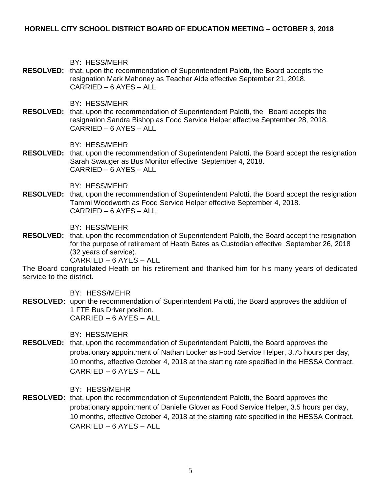BY: HESS/MEHR

**RESOLVED:** that, upon the recommendation of Superintendent Palotti, the Board accepts the resignation Mark Mahoney as Teacher Aide effective September 21, 2018. CARRIED – 6 AYES – ALL

BY: HESS/MEHR

**RESOLVED:** that, upon the recommendation of Superintendent Palotti, the Board accepts the resignation Sandra Bishop as Food Service Helper effective September 28, 2018. CARRIED – 6 AYES – ALL

BY: HESS/MEHR

**RESOLVED:** that, upon the recommendation of Superintendent Palotti, the Board accept the resignation Sarah Swauger as Bus Monitor effective September 4, 2018. CARRIED – 6 AYES – ALL

BY: HESS/MEHR

**RESOLVED:** that, upon the recommendation of Superintendent Palotti, the Board accept the resignation Tammi Woodworth as Food Service Helper effective September 4, 2018. CARRIED – 6 AYES – ALL

BY: HESS/MEHR

**RESOLVED:** that, upon the recommendation of Superintendent Palotti, the Board accept the resignation for the purpose of retirement of Heath Bates as Custodian effective September 26, 2018 (32 years of service).

CARRIED – 6 AYES – ALL

The Board congratulated Heath on his retirement and thanked him for his many years of dedicated service to the district.

BY: HESS/MEHR

**RESOLVED:** upon the recommendation of Superintendent Palotti, the Board approves the addition of 1 FTE Bus Driver position. CARRIED – 6 AYES – ALL

BY: HESS/MEHR

**RESOLVED:** that, upon the recommendation of Superintendent Palotti, the Board approves the probationary appointment of Nathan Locker as Food Service Helper, 3.75 hours per day, 10 months, effective October 4, 2018 at the starting rate specified in the HESSA Contract. CARRIED – 6 AYES – ALL

BY: HESS/MEHR

**RESOLVED:** that, upon the recommendation of Superintendent Palotti, the Board approves the probationary appointment of Danielle Glover as Food Service Helper, 3.5 hours per day, 10 months, effective October 4, 2018 at the starting rate specified in the HESSA Contract. CARRIED – 6 AYES – ALL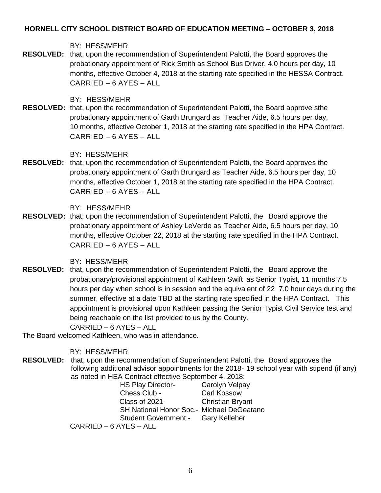BY: HESS/MEHR

**RESOLVED:** that, upon the recommendation of Superintendent Palotti, the Board approves the probationary appointment of Rick Smith as School Bus Driver, 4.0 hours per day, 10 months, effective October 4, 2018 at the starting rate specified in the HESSA Contract. CARRIED – 6 AYES – ALL

BY: HESS/MEHR

**RESOLVED:** that, upon the recommendation of Superintendent Palotti, the Board approve sthe probationary appointment of Garth Brungard as Teacher Aide, 6.5 hours per day, 10 months, effective October 1, 2018 at the starting rate specified in the HPA Contract. CARRIED – 6 AYES – ALL

BY: HESS/MEHR

**RESOLVED:** that, upon the recommendation of Superintendent Palotti, the Board approves the probationary appointment of Garth Brungard as Teacher Aide, 6.5 hours per day, 10 months, effective October 1, 2018 at the starting rate specified in the HPA Contract. CARRIED – 6 AYES – ALL

BY: HESS/MEHR

**RESOLVED:** that, upon the recommendation of Superintendent Palotti, the Board approve the probationary appointment of Ashley LeVerde as Teacher Aide, 6.5 hours per day, 10 months, effective October 22, 2018 at the starting rate specified in the HPA Contract. CARRIED – 6 AYES – ALL

BY: HESS/MEHR

**RESOLVED:** that, upon the recommendation of Superintendent Palotti, the Board approve the probationary/provisional appointment of Kathleen Swift as Senior Typist, 11 months 7.5 hours per day when school is in session and the equivalent of 22 7.0 hour days during the summer, effective at a date TBD at the starting rate specified in the HPA Contract. This appointment is provisional upon Kathleen passing the Senior Typist Civil Service test and being reachable on the list provided to us by the County.

CARRIED – 6 AYES – ALL

The Board welcomed Kathleen, who was in attendance.

BY: HESS/MEHR

**RESOLVED:** that, upon the recommendation of Superintendent Palotti, the Board approves the following additional advisor appointments for the 2018- 19 school year with stipend (if any) as noted in HEA Contract effective September 4, 2018:

| <b>HS Play Director-</b>                        | Carolyn Velpay          |
|-------------------------------------------------|-------------------------|
| Chess Club -                                    | <b>Carl Kossow</b>      |
| Class of 2021-                                  | <b>Christian Bryant</b> |
| <b>SH National Honor Soc.</b> Michael DeGeatano |                         |
| Student Government - Gary Kelleher              |                         |
| CARRIED - 6 AYES - ALL                          |                         |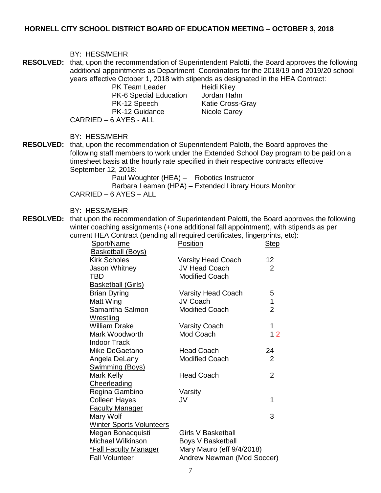| <b>RESOLVED:</b> that, upon the recommendation of Superintendent Palotti, the Board approves the following<br>years effective October 1, 2018 with stipends as designated in the HEA Contract:<br><b>PK Team Leader</b><br>Heidi Kiley<br>PK-6 Special Education Jordan Hahn<br>PK-12 Speech<br><b>Katie Cross-Gray</b><br>PK-12 Guidance<br>Nicole Carey<br>CARRIED - 6 AYES - ALL<br>BY: HESS/MEHR<br><b>RESOLVED:</b><br>that, upon the recommendation of Superintendent Palotti, the Board approves the<br>timesheet basis at the hourly rate specified in their respective contracts effective<br>September 12, 2018:<br>Paul Woughter (HEA) - Robotics Instructor<br>Barbara Leaman (HPA) - Extended Library Hours Monitor | BY: HESS/MEHR                                                                         |  |
|----------------------------------------------------------------------------------------------------------------------------------------------------------------------------------------------------------------------------------------------------------------------------------------------------------------------------------------------------------------------------------------------------------------------------------------------------------------------------------------------------------------------------------------------------------------------------------------------------------------------------------------------------------------------------------------------------------------------------------|---------------------------------------------------------------------------------------|--|
|                                                                                                                                                                                                                                                                                                                                                                                                                                                                                                                                                                                                                                                                                                                                  | additional appointments as Department Coordinators for the 2018/19 and 2019/20 school |  |
| CARRIED - 6 AYES - ALL                                                                                                                                                                                                                                                                                                                                                                                                                                                                                                                                                                                                                                                                                                           | following staff members to work under the Extended School Day program to be paid on a |  |

BY: HESS/MEHR

**RESOLVED:** that upon the recommendation of Superintendent Palotti, the Board approves the following winter coaching assignments (+one additional fall appointment), with stipends as per current HEA Contract (pending all required certificates, fingerprints, etc):

| monent run contract (ponung an required continuates, imgerprints, |                            |                |
|-------------------------------------------------------------------|----------------------------|----------------|
| Sport/Name                                                        | <b>Position</b>            | <b>Step</b>    |
| <b>Basketball (Boys)</b>                                          |                            |                |
| <b>Kirk Scholes</b>                                               | <b>Varsity Head Coach</b>  | 12             |
| Jason Whitney                                                     | <b>JV Head Coach</b>       | 2              |
| TBD                                                               | <b>Modified Coach</b>      |                |
| <b>Basketball (Girls)</b>                                         |                            |                |
| <b>Brian Dyring</b>                                               | <b>Varsity Head Coach</b>  | 5              |
| Matt Wing                                                         | JV Coach                   | 1              |
| Samantha Salmon                                                   | <b>Modified Coach</b>      | $\overline{2}$ |
| Wrestling                                                         |                            |                |
| <b>William Drake</b>                                              | <b>Varsity Coach</b>       | 1              |
| Mark Woodworth                                                    | Mod Coach                  | 12             |
| <b>Indoor Track</b>                                               |                            |                |
| Mike DeGaetano                                                    | <b>Head Coach</b>          | 24             |
| Angela DeLany                                                     | <b>Modified Coach</b>      | $\overline{2}$ |
| Swimming (Boys)                                                   |                            |                |
| Mark Kelly                                                        | <b>Head Coach</b>          | $\overline{2}$ |
| Cheerleading                                                      |                            |                |
| Regina Gambino                                                    | Varsity                    |                |
| <b>Colleen Hayes</b>                                              | JV                         | 1              |
| <b>Faculty Manager</b>                                            |                            |                |
| Mary Wolf                                                         |                            | 3              |
| <b>Winter Sports Volunteers</b>                                   |                            |                |
| Megan Bonacquisti                                                 | <b>Girls V Basketball</b>  |                |
| <b>Michael Wilkinson</b>                                          | Boys V Basketball          |                |
| <b>*Fall Faculty Manager</b>                                      | Mary Mauro (eff 9/4/2018)  |                |
| <b>Fall Volunteer</b>                                             | Andrew Newman (Mod Soccer) |                |
|                                                                   |                            |                |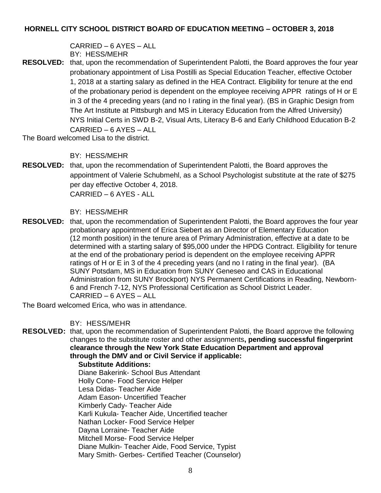CARRIED – 6 AYES – ALL BY: HESS/MEHR

**RESOLVED:** that, upon the recommendation of Superintendent Palotti, the Board approves the four year probationary appointment of Lisa Postilli as Special Education Teacher, effective October 1, 2018 at a starting salary as defined in the HEA Contract. Eligibility for tenure at the end of the probationary period is dependent on the employee receiving APPR ratings of H or E in 3 of the 4 preceding years (and no I rating in the final year). (BS in Graphic Design from The Art Institute at Pittsburgh and MS in Literacy Education from the Alfred University) NYS Initial Certs in SWD B-2, Visual Arts, Literacy B-6 and Early Childhood Education B-2 CARRIED – 6 AYES – ALL

The Board welcomed Lisa to the district.

BY: HESS/MEHR

**RESOLVED:** that, upon the recommendation of Superintendent Palotti, the Board approves the appointment of Valerie Schubmehl, as a School Psychologist substitute at the rate of \$275 per day effective October 4, 2018. CARRIED – 6 AYES - ALL

## BY: HESS/MEHR

**RESOLVED:** that, upon the recommendation of Superintendent Palotti, the Board approves the four year probationary appointment of Erica Siebert as an Director of Elementary Education (12 month position) in the tenure area of Primary Administration, effective at a date to be determined with a starting salary of \$95,000 under the HPDG Contract. Eligibility for tenure at the end of the probationary period is dependent on the employee receiving APPR ratings of H or E in 3 of the 4 preceding years (and no I rating in the final year). (BA SUNY Potsdam, MS in Education from SUNY Geneseo and CAS in Educational Administration from SUNY Brockport) NYS Permanent Certifications in Reading, Newborn-6 and French 7-12, NYS Professional Certification as School District Leader. CARRIED – 6 AYES – ALL

The Board welcomed Erica, who was in attendance.

# BY: HESS/MEHR

**RESOLVED:** that, upon the recommendation of Superintendent Palotti, the Board approve the following changes to the substitute roster and other assignments**, pending successful fingerprint clearance through the New York State Education Department and approval through the DMV and or Civil Service if applicable:**

## **Substitute Additions:**

Diane Bakerink- School Bus Attendant Holly Cone- Food Service Helper Lesa Didas- Teacher Aide Adam Eason- Uncertified Teacher Kimberly Cady- Teacher Aide Karli Kukula- Teacher Aide, Uncertified teacher Nathan Locker- Food Service Helper Dayna Lorraine- Teacher Aide Mitchell Morse- Food Service Helper Diane Mulkin- Teacher Aide, Food Service, Typist Mary Smith- Gerbes- Certified Teacher (Counselor)